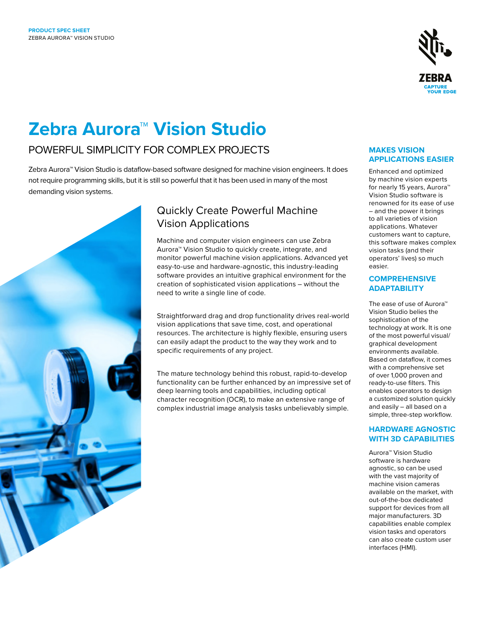

# **Zebra Aurora™ Vision Studio**

### POWERFUL SIMPLICITY FOR COMPLEX PROJECTS

Zebra Aurora™ Vision Studio is dataflow-based software designed for machine vision engineers. It does not require programming skills, but it is still so powerful that it has been used in many of the most demanding vision systems.



### Quickly Create Powerful Machine Vision Applications

Machine and computer vision engineers can use Zebra Aurora™ Vision Studio to quickly create, integrate, and monitor powerful machine vision applications. Advanced yet easy-to-use and hardware-agnostic, this industry-leading software provides an intuitive graphical environment for the creation of sophisticated vision applications – without the need to write a single line of code.

Straightforward drag and drop functionality drives real-world vision applications that save time, cost, and operational resources. The architecture is highly flexible, ensuring users can easily adapt the product to the way they work and to specific requirements of any project.

The mature technology behind this robust, rapid-to-develop functionality can be further enhanced by an impressive set of deep learning tools and capabilities, including optical character recognition (OCR), to make an extensive range of complex industrial image analysis tasks unbelievably simple.

#### **MAKES VISION APPLICATIONS EASIER**

Enhanced and optimized by machine vision experts for nearly 15 years, Aurora™ Vision Studio software is renowned for its ease of use – and the power it brings to all varieties of vision applications. Whatever customers want to capture, this software makes complex vision tasks (and their operators' lives) so much easier.

### **COMPREHENSIVE ADAPTABILITY**

The ease of use of Aurora™ Vision Studio belies the sophistication of the technology at work. It is one of the most powerful visual/ graphical development environments available. Based on dataflow, it comes with a comprehensive set of over 1,000 proven and ready-to-use filters. This enables operators to design a customized solution quickly and easily – all based on a simple, three-step workflow.

#### **HARDWARE AGNOSTIC WITH 3D CAPABILITIES**

Aurora™ Vision Studio software is hardware agnostic, so can be used with the vast majority of machine vision cameras available on the market, with out-of-the-box dedicated support for devices from all major manufacturers. 3D capabilities enable complex vision tasks and operators can also create custom user interfaces (HMI).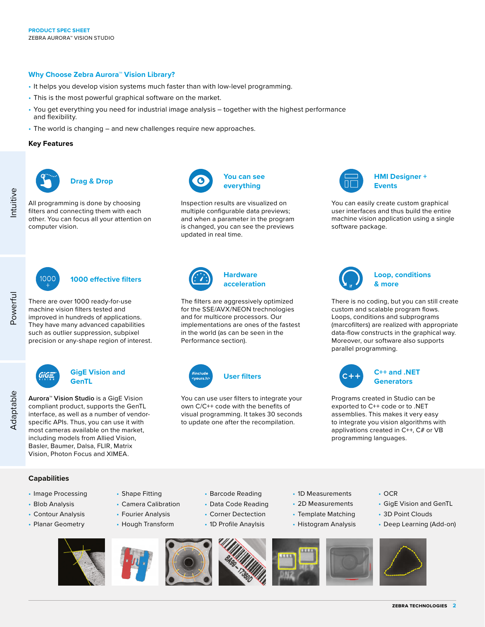#### **Why Choose Zebra Aurora™ Vision Library?**

- It helps you develop vision systems much faster than with low-level programming.
- This is the most powerful graphical software on the market.
- You get everything you need for industrial image analysis together with the highest performance and flexibility.
- The world is changing and new challenges require new approaches.

#### **Key Features**



 $1000$ 

GiG=

ntuitive

Powerful

There are over 1000 ready-for-use machine vision filters tested and improved in hundreds of applications. They have many advanced capabilities such as outlier suppression, subpixel precision or any-shape region of interest.

**Aurora™ Vision Studio** is a GigE Vision compliant product, supports the GenTL interface, as well as a number of vendorspecific APIs. Thus, you can use it with most cameras available on the market, including models from Allied Vision, Basler, Baumer, Dalsa, FLIR, Matrix Vision, Photon Focus and XIMEA.

**GigE Vision and** 

All programming is done by choosing filters and connecting them with each other. You can focus all your attention on computer vision.



Inspection results are visualized on multiple configurable data previews; and when a parameter in the program is changed, you can see the previews updated in real time.



The filters are aggressively optimized for the SSE/AVX/NEON trechnologies and for multicore processors. Our implementations are ones of the fastest in the world (as can be seen in the Performance section).



You can use user filters to integrate your own C/C++ code with the benefits of visual programming. It takes 30 seconds to update one after the recompilation.

> • Barcode Reading • Data Code Reading • Corner Dectection • 1D Profile Anaylsis



**HMI Designer + Events**

You can easily create custom graphical user interfaces and thus build the entire machine vision application using a single software package.



**Loop, conditions & more**

There is no coding, but you can still create custom and scalable program flows. Loops, conditions and subprograms (marcofilters) are realized with appropriate data-flow constructs in the graphical way. Moreover, our software also supports parallel programming.



Programs created in Studio can be exported to C++ code or to .NET assemblies. This makes it very easy to integrate you vision algorithms with applivations created in C++, C# or VB programming languages.

## **Capabilities**

- Image Processing
- Blob Analysis
- Contour Analysis
- Planar Geometry





• Shape Fitting • Camera Calibration • Fourier Analysis • Hough Transform







• 1D Measurements • 2D Measurements • Template Matching • Histogram Analysis

- OCR
- GigE Vision and GenTL
- 3D Point Clouds
- Deep Learning (Add-on)